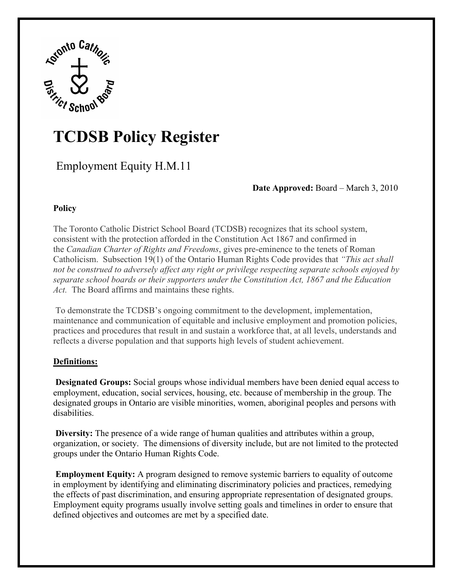

# **TCDSB Policy Register**

Employment Equity H.M.11

# **Date Approved:** Board – March 3, 2010

# **Policy**

The Toronto Catholic District School Board (TCDSB) recognizes that its school system, consistent with the protection afforded in the Constitution Act 1867 and confirmed in the *Canadian Charter of Rights and Freedoms*, gives pre-eminence to the tenets of Roman Catholicism. Subsection 19(1) of the Ontario Human Rights Code provides that *"This act shall not be construed to adversely affect any right or privilege respecting separate schools enjoyed by separate school boards or their supporters under the Constitution Act, 1867 and the Education Act.* The Board affirms and maintains these rights.

 To demonstrate the TCDSB's ongoing commitment to the development, implementation, maintenance and communication of equitable and inclusive employment and promotion policies, practices and procedures that result in and sustain a workforce that, at all levels, understands and reflects a diverse population and that supports high levels of student achievement.

### **Definitions:**

**Designated Groups:** Social groups whose individual members have been denied equal access to employment, education, social services, housing, etc. because of membership in the group. The designated groups in Ontario are visible minorities, women, aboriginal peoples and persons with disabilities.

**Diversity:** The presence of a wide range of human qualities and attributes within a group, organization, or society. The dimensions of diversity include, but are not limited to the protected groups under the Ontario Human Rights Code.

**Employment Equity:** A program designed to remove systemic barriers to equality of outcome in employment by identifying and eliminating discriminatory policies and practices, remedying the effects of past discrimination, and ensuring appropriate representation of designated groups. Employment equity programs usually involve setting goals and timelines in order to ensure that defined objectives and outcomes are met by a specified date.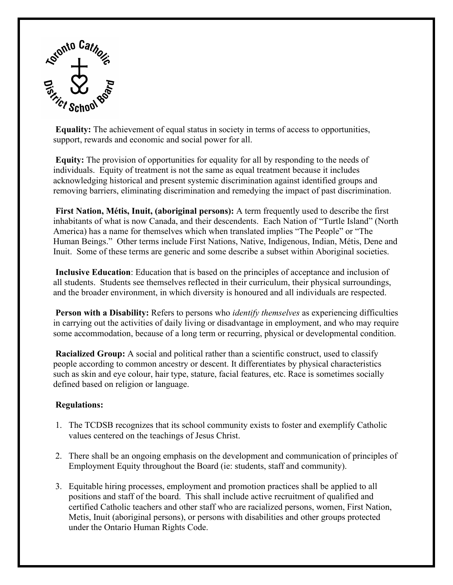

**Equality:** The achievement of equal status in society in terms of access to opportunities, support, rewards and economic and social power for all.

**Equity:** The provision of opportunities for equality for all by responding to the needs of individuals. Equity of treatment is not the same as equal treatment because it includes acknowledging historical and present systemic discrimination against identified groups and removing barriers, eliminating discrimination and remedying the impact of past discrimination.

**First Nation, Métis, Inuit, (aboriginal persons):** A term frequently used to describe the first inhabitants of what is now Canada, and their descendents. Each Nation of "Turtle Island" (North America) has a name for themselves which when translated implies "The People" or "The Human Beings." Other terms include First Nations, Native, Indigenous, Indian, Métis, Dene and Inuit. Some of these terms are generic and some describe a subset within Aboriginal societies.

**Inclusive Education**: Education that is based on the principles of acceptance and inclusion of all students. Students see themselves reflected in their curriculum, their physical surroundings, and the broader environment, in which diversity is honoured and all individuals are respected.

**Person with a Disability:** Refers to persons who *identify themselves* as experiencing difficulties in carrying out the activities of daily living or disadvantage in employment, and who may require some accommodation, because of a long term or recurring, physical or developmental condition.

**Racialized Group:** A social and political rather than a scientific construct, used to classify people according to common ancestry or descent. It differentiates by physical characteristics such as skin and eye colour, hair type, stature, facial features, etc. Race is sometimes socially defined based on religion or language.

### **Regulations:**

- 1. The TCDSB recognizes that its school community exists to foster and exemplify Catholic values centered on the teachings of Jesus Christ.
- 2. There shall be an ongoing emphasis on the development and communication of principles of Employment Equity throughout the Board (ie: students, staff and community).
- 3. Equitable hiring processes, employment and promotion practices shall be applied to all positions and staff of the board. This shall include active recruitment of qualified and certified Catholic teachers and other staff who are racialized persons, women, First Nation, Metis, Inuit (aboriginal persons), or persons with disabilities and other groups protected under the Ontario Human Rights Code.